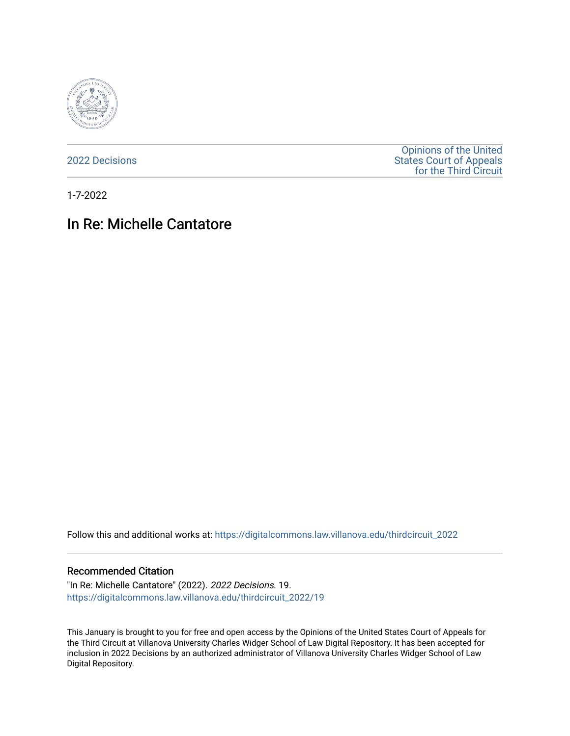

[2022 Decisions](https://digitalcommons.law.villanova.edu/thirdcircuit_2022)

[Opinions of the United](https://digitalcommons.law.villanova.edu/thirdcircuit)  [States Court of Appeals](https://digitalcommons.law.villanova.edu/thirdcircuit)  [for the Third Circuit](https://digitalcommons.law.villanova.edu/thirdcircuit) 

1-7-2022

# In Re: Michelle Cantatore

Follow this and additional works at: [https://digitalcommons.law.villanova.edu/thirdcircuit\\_2022](https://digitalcommons.law.villanova.edu/thirdcircuit_2022?utm_source=digitalcommons.law.villanova.edu%2Fthirdcircuit_2022%2F19&utm_medium=PDF&utm_campaign=PDFCoverPages) 

### Recommended Citation

"In Re: Michelle Cantatore" (2022). 2022 Decisions. 19. [https://digitalcommons.law.villanova.edu/thirdcircuit\\_2022/19](https://digitalcommons.law.villanova.edu/thirdcircuit_2022/19?utm_source=digitalcommons.law.villanova.edu%2Fthirdcircuit_2022%2F19&utm_medium=PDF&utm_campaign=PDFCoverPages)

This January is brought to you for free and open access by the Opinions of the United States Court of Appeals for the Third Circuit at Villanova University Charles Widger School of Law Digital Repository. It has been accepted for inclusion in 2022 Decisions by an authorized administrator of Villanova University Charles Widger School of Law Digital Repository.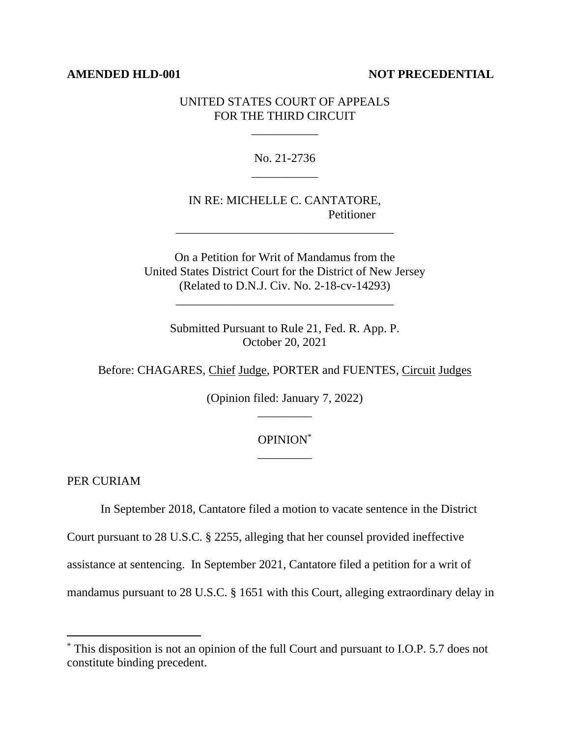#### **AMENDED HLD-001 NOT PRECEDENTIAL**

## UNITED STATES COURT OF APPEALS FOR THE THIRD CIRCUIT

\_\_\_\_\_\_\_\_\_\_\_

No. 21-2736 \_\_\_\_\_\_\_\_\_\_\_

# IN RE: MICHELLE C. CANTATORE, Petitioner

\_\_\_\_\_\_\_\_\_\_\_\_\_\_\_\_\_\_\_\_\_\_\_\_\_\_\_\_\_\_\_\_\_\_\_\_

On a Petition for Writ of Mandamus from the United States District Court for the District of New Jersey (Related to D.N.J. Civ. No. 2-18-cv-14293)

\_\_\_\_\_\_\_\_\_\_\_\_\_\_\_\_\_\_\_\_\_\_\_\_\_\_\_\_\_\_\_\_\_\_\_\_

Submitted Pursuant to Rule 21, Fed. R. App. P. October 20, 2021

Before: CHAGARES, Chief Judge, PORTER and FUENTES, Circuit Judges

(Opinion filed: January 7, 2022) \_\_\_\_\_\_\_\_\_

# OPINION\* \_\_\_\_\_\_\_\_\_

PER CURIAM

In September 2018, Cantatore filed a motion to vacate sentence in the District

Court pursuant to 28 U.S.C. § 2255, alleging that her counsel provided ineffective

assistance at sentencing. In September 2021, Cantatore filed a petition for a writ of

mandamus pursuant to 28 U.S.C. § 1651 with this Court, alleging extraordinary delay in

<sup>\*</sup> This disposition is not an opinion of the full Court and pursuant to I.O.P. 5.7 does not constitute binding precedent.